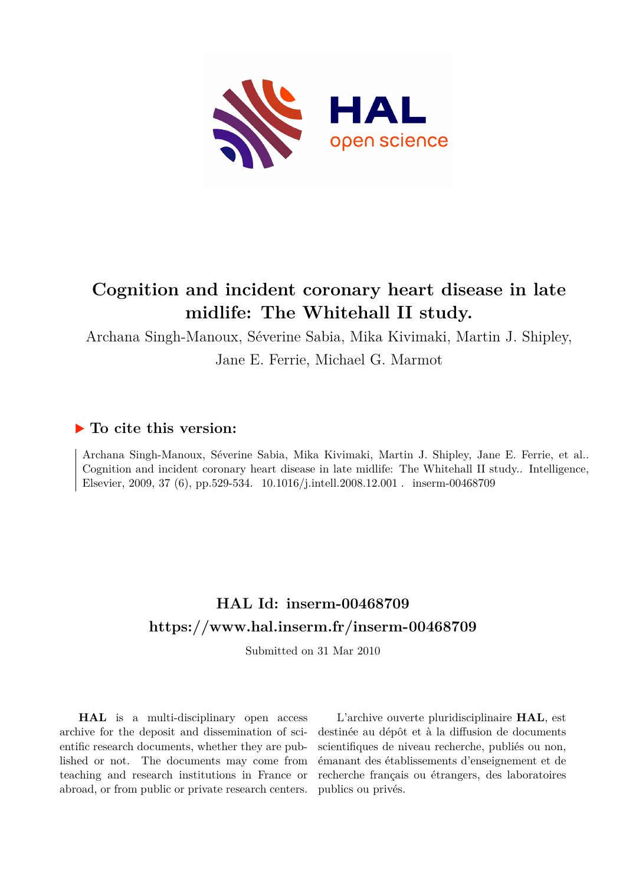

# **Cognition and incident coronary heart disease in late midlife: The Whitehall II study.**

Archana Singh-Manoux, Séverine Sabia, Mika Kivimaki, Martin J. Shipley,

Jane E. Ferrie, Michael G. Marmot

## **To cite this version:**

Archana Singh-Manoux, Séverine Sabia, Mika Kivimaki, Martin J. Shipley, Jane E. Ferrie, et al.. Cognition and incident coronary heart disease in late midlife: The Whitehall II study.. Intelligence, Elsevier, 2009, 37 (6), pp.529-534. 10.1016/j.intell.2008.12.001 . inserm-00468709

## **HAL Id: inserm-00468709 <https://www.hal.inserm.fr/inserm-00468709>**

Submitted on 31 Mar 2010

**HAL** is a multi-disciplinary open access archive for the deposit and dissemination of scientific research documents, whether they are published or not. The documents may come from teaching and research institutions in France or abroad, or from public or private research centers.

L'archive ouverte pluridisciplinaire **HAL**, est destinée au dépôt et à la diffusion de documents scientifiques de niveau recherche, publiés ou non, émanant des établissements d'enseignement et de recherche français ou étrangers, des laboratoires publics ou privés.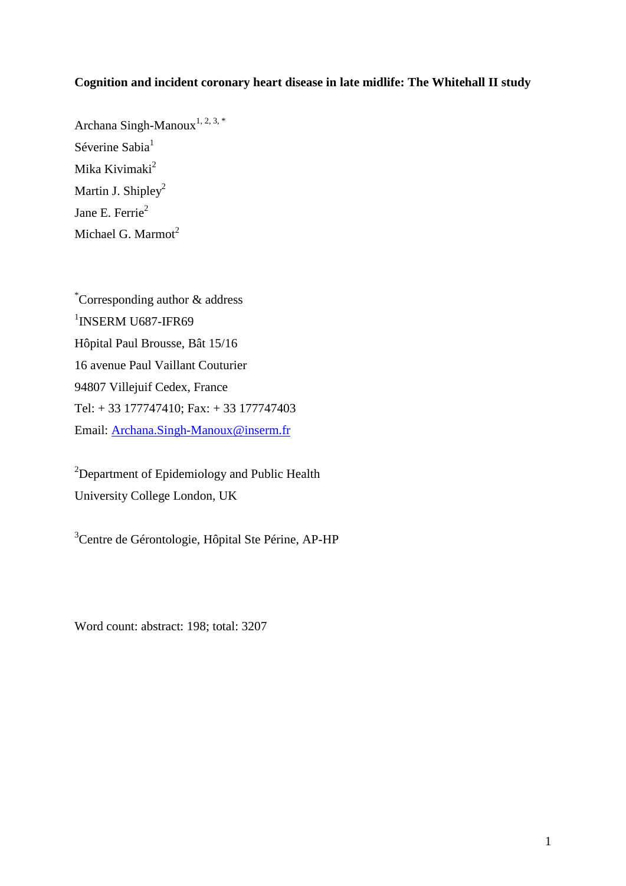## **Cognition and incident coronary heart disease in late midlife: The Whitehall II study**

Archana Singh-Manoux<sup>1, 2, 3, \*</sup> Séverine Sabia<sup>1</sup> Mika Kivimaki<sup>2</sup> Martin J. Shipley<sup>2</sup> Jane E. Ferrie<sup>2</sup> Michael G. Marmot<sup>2</sup>

\*Corresponding author & address <sup>1</sup>INSERM U687-IFR69 Hôpital Paul Brousse, Bât 15/16 16 avenue Paul Vaillant Couturier 94807 Villejuif Cedex, France Tel: + 33 177747410; Fax: + 33 177747403 Email: [Archana.Singh-Manoux@inserm.fr](mailto:Archana.Singh-Manoux@st-maurice.inserm.fr)

<sup>2</sup>Department of Epidemiology and Public Health University College London, UK

<sup>3</sup>Centre de Gérontologie, Hôpital Ste Périne, AP-HP

Word count: abstract: 198; total: 3207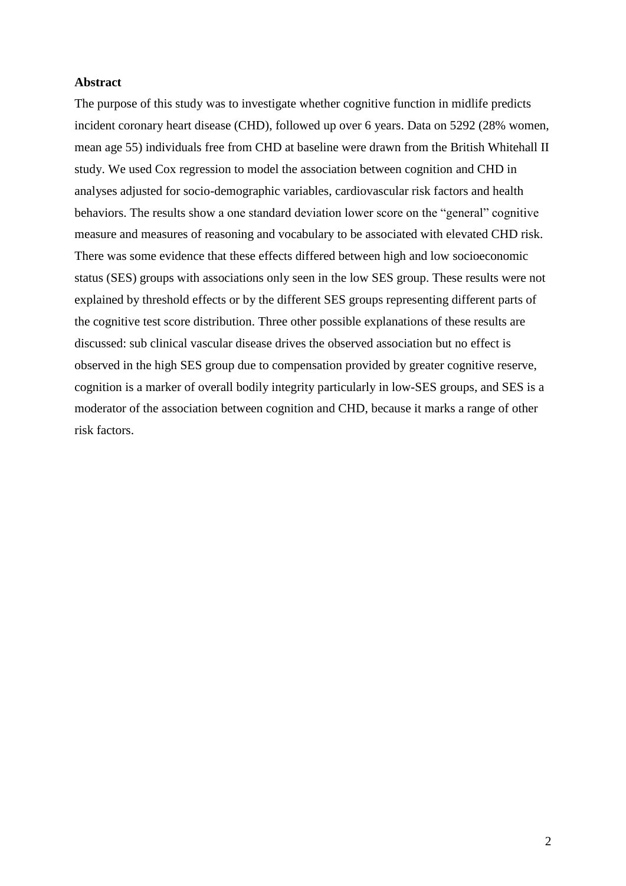#### **Abstract**

The purpose of this study was to investigate whether cognitive function in midlife predicts incident coronary heart disease (CHD), followed up over 6 years. Data on 5292 (28% women, mean age 55) individuals free from CHD at baseline were drawn from the British Whitehall II study. We used Cox regression to model the association between cognition and CHD in analyses adjusted for socio-demographic variables, cardiovascular risk factors and health behaviors. The results show a one standard deviation lower score on the "general" cognitive measure and measures of reasoning and vocabulary to be associated with elevated CHD risk. There was some evidence that these effects differed between high and low socioeconomic status (SES) groups with associations only seen in the low SES group. These results were not explained by threshold effects or by the different SES groups representing different parts of the cognitive test score distribution. Three other possible explanations of these results are discussed: sub clinical vascular disease drives the observed association but no effect is observed in the high SES group due to compensation provided by greater cognitive reserve, cognition is a marker of overall bodily integrity particularly in low-SES groups, and SES is a moderator of the association between cognition and CHD, because it marks a range of other risk factors.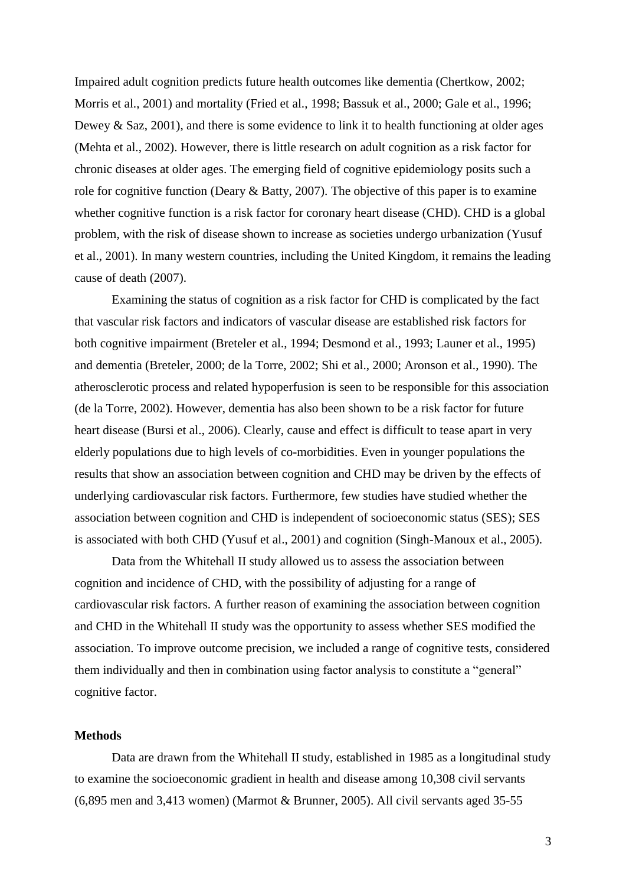Impaired adult cognition predicts future health outcomes like dementia (Chertkow, 2002; Morris et al., 2001) and mortality (Fried et al., 1998; Bassuk et al., 2000; Gale et al., 1996; Dewey  $\&$  Saz, 2001), and there is some evidence to link it to health functioning at older ages (Mehta et al., 2002). However, there is little research on adult cognition as a risk factor for chronic diseases at older ages. The emerging field of cognitive epidemiology posits such a role for cognitive function (Deary & Batty, 2007). The objective of this paper is to examine whether cognitive function is a risk factor for coronary heart disease (CHD). CHD is a global problem, with the risk of disease shown to increase as societies undergo urbanization (Yusuf et al., 2001). In many western countries, including the United Kingdom, it remains the leading cause of death (2007).

Examining the status of cognition as a risk factor for CHD is complicated by the fact that vascular risk factors and indicators of vascular disease are established risk factors for both cognitive impairment (Breteler et al., 1994; Desmond et al., 1993; Launer et al., 1995) and dementia (Breteler, 2000; de la Torre, 2002; Shi et al., 2000; Aronson et al., 1990). The atherosclerotic process and related hypoperfusion is seen to be responsible for this association (de la Torre, 2002). However, dementia has also been shown to be a risk factor for future heart disease (Bursi et al., 2006). Clearly, cause and effect is difficult to tease apart in very elderly populations due to high levels of co-morbidities. Even in younger populations the results that show an association between cognition and CHD may be driven by the effects of underlying cardiovascular risk factors. Furthermore, few studies have studied whether the association between cognition and CHD is independent of socioeconomic status (SES); SES is associated with both CHD (Yusuf et al., 2001) and cognition (Singh-Manoux et al., 2005).

Data from the Whitehall II study allowed us to assess the association between cognition and incidence of CHD, with the possibility of adjusting for a range of cardiovascular risk factors. A further reason of examining the association between cognition and CHD in the Whitehall II study was the opportunity to assess whether SES modified the association. To improve outcome precision, we included a range of cognitive tests, considered them individually and then in combination using factor analysis to constitute a "general" cognitive factor.

### **Methods**

Data are drawn from the Whitehall II study, established in 1985 as a longitudinal study to examine the socioeconomic gradient in health and disease among 10,308 civil servants (6,895 men and 3,413 women) (Marmot & Brunner, 2005). All civil servants aged 35-55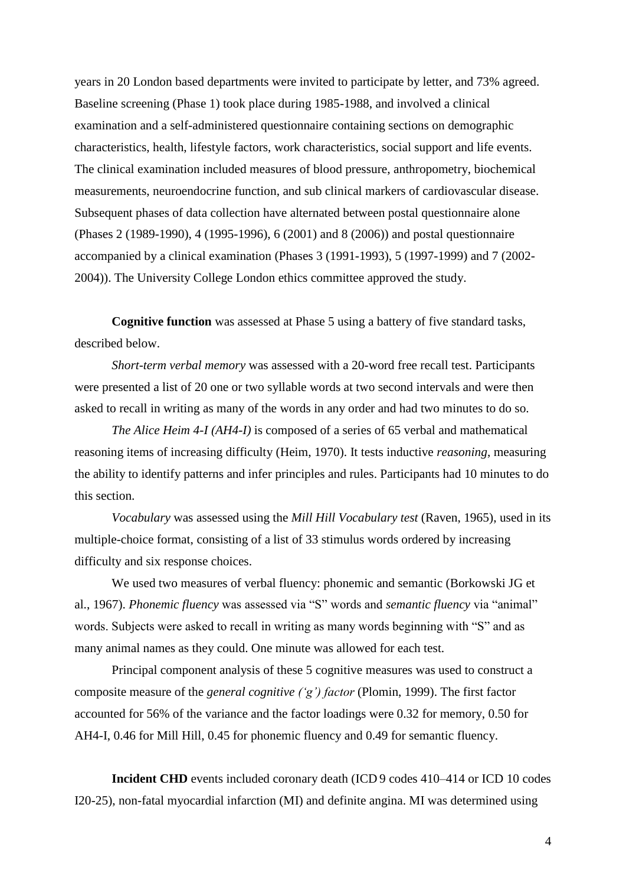years in 20 London based departments were invited to participate by letter, and 73% agreed. Baseline screening (Phase 1) took place during 1985-1988, and involved a clinical examination and a self-administered questionnaire containing sections on demographic characteristics, health, lifestyle factors, work characteristics, social support and life events. The clinical examination included measures of blood pressure, anthropometry, biochemical measurements, neuroendocrine function, and sub clinical markers of cardiovascular disease. Subsequent phases of data collection have alternated between postal questionnaire alone (Phases 2 (1989-1990), 4 (1995-1996), 6 (2001) and 8 (2006)) and postal questionnaire accompanied by a clinical examination (Phases 3 (1991-1993), 5 (1997-1999) and 7 (2002- 2004)). The University College London ethics committee approved the study.

**Cognitive function** was assessed at Phase 5 using a battery of five standard tasks, described below.

*Short-term verbal memory* was assessed with a 20-word free recall test. Participants were presented a list of 20 one or two syllable words at two second intervals and were then asked to recall in writing as many of the words in any order and had two minutes to do so.

*The Alice Heim 4-I (AH4-I)* is composed of a series of 65 verbal and mathematical reasoning items of increasing difficulty (Heim, 1970). It tests inductive *reasoning*, measuring the ability to identify patterns and infer principles and rules. Participants had 10 minutes to do this section.

*Vocabulary* was assessed using the *Mill Hill Vocabulary test* (Raven, 1965), used in its multiple-choice format, consisting of a list of 33 stimulus words ordered by increasing difficulty and six response choices.

We used two measures of verbal fluency: phonemic and semantic (Borkowski JG et al., 1967). *Phonemic fluency* was assessed via "S" words and *semantic fluency* via "animal" words. Subjects were asked to recall in writing as many words beginning with "S" and as many animal names as they could. One minute was allowed for each test.

Principal component analysis of these 5 cognitive measures was used to construct a composite measure of the *general cognitive ('g') factor* (Plomin, 1999). The first factor accounted for 56% of the variance and the factor loadings were 0.32 for memory, 0.50 for AH4-I, 0.46 for Mill Hill, 0.45 for phonemic fluency and 0.49 for semantic fluency.

**Incident CHD** events included coronary death (ICD 9 codes 410–414 or ICD 10 codes I20-25), non-fatal myocardial infarction (MI) and definite angina. MI was determined using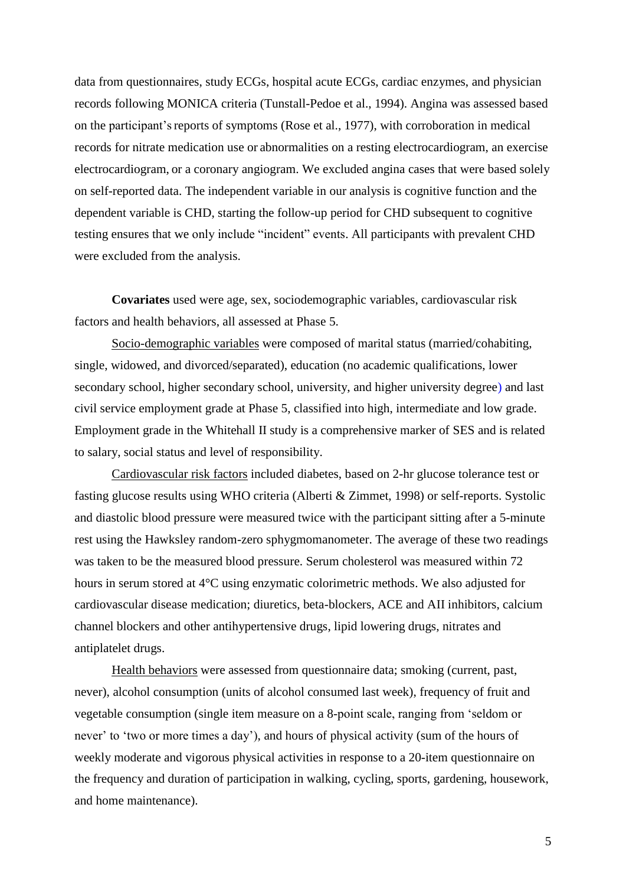data from questionnaires, study ECGs, hospital acute ECGs, cardiac enzymes, and physician records following MONICA criteria (Tunstall-Pedoe et al., 1994). Angina was assessed based on the participant"sreports of symptoms (Rose et al., 1977), with corroboration in medical records for nitrate medication use or abnormalities on a resting electrocardiogram, an exercise electrocardiogram, or a coronary angiogram. We excluded angina cases that were based solely on self-reported data. The independent variable in our analysis is cognitive function and the dependent variable is CHD, starting the follow-up period for CHD subsequent to cognitive testing ensures that we only include "incident" events. All participants with prevalent CHD were excluded from the analysis.

**Covariates** used were age, sex, sociodemographic variables, cardiovascular risk factors and health behaviors, all assessed at Phase 5.

Socio-demographic variables were composed of marital status (married/cohabiting, single, widowed, and divorced/separated), education (no academic qualifications, lower secondary school, higher secondary school, university, and higher university degree) and last civil service employment grade at Phase 5, classified into high, intermediate and low grade. Employment grade in the Whitehall II study is a comprehensive marker of SES and is related to salary, social status and level of responsibility.

Cardiovascular risk factors included diabetes, based on 2-hr glucose tolerance test or fasting glucose results using WHO criteria (Alberti & Zimmet, 1998) or self-reports. Systolic and diastolic blood pressure were measured twice with the participant sitting after a 5-minute rest using the Hawksley random-zero sphygmomanometer. The average of these two readings was taken to be the measured blood pressure. Serum cholesterol was measured within 72 hours in serum stored at 4°C using enzymatic colorimetric methods. We also adjusted for cardiovascular disease medication; diuretics, beta-blockers, ACE and AII inhibitors, calcium channel blockers and other antihypertensive drugs, lipid lowering drugs, nitrates and antiplatelet drugs.

Health behaviors were assessed from questionnaire data; smoking (current, past, never), alcohol consumption (units of alcohol consumed last week), frequency of fruit and vegetable consumption (single item measure on a 8-point scale, ranging from "seldom or never' to 'two or more times a day'), and hours of physical activity (sum of the hours of weekly moderate and vigorous physical activities in response to a 20-item questionnaire on the frequency and duration of participation in walking, cycling, sports, gardening, housework, and home maintenance).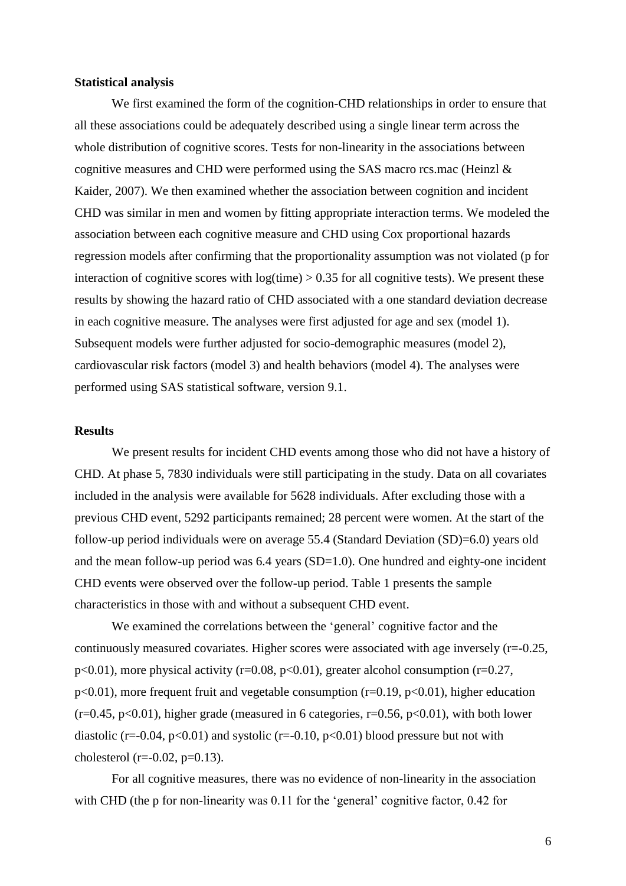#### **Statistical analysis**

We first examined the form of the cognition-CHD relationships in order to ensure that all these associations could be adequately described using a single linear term across the whole distribution of cognitive scores. Tests for non-linearity in the associations between cognitive measures and CHD were performed using the SAS macro rcs.mac (Heinzl & Kaider, 2007). We then examined whether the association between cognition and incident CHD was similar in men and women by fitting appropriate interaction terms. We modeled the association between each cognitive measure and CHD using Cox proportional hazards regression models after confirming that the proportionality assumption was not violated (p for interaction of cognitive scores with  $log(time) > 0.35$  for all cognitive tests). We present these results by showing the hazard ratio of CHD associated with a one standard deviation decrease in each cognitive measure. The analyses were first adjusted for age and sex (model 1). Subsequent models were further adjusted for socio-demographic measures (model 2), cardiovascular risk factors (model 3) and health behaviors (model 4). The analyses were performed using SAS statistical software, version 9.1.

#### **Results**

We present results for incident CHD events among those who did not have a history of CHD. At phase 5, 7830 individuals were still participating in the study. Data on all covariates included in the analysis were available for 5628 individuals. After excluding those with a previous CHD event, 5292 participants remained; 28 percent were women. At the start of the follow-up period individuals were on average 55.4 (Standard Deviation (SD)=6.0) years old and the mean follow-up period was  $6.4$  years  $(SD=1.0)$ . One hundred and eighty-one incident CHD events were observed over the follow-up period. Table 1 presents the sample characteristics in those with and without a subsequent CHD event.

We examined the correlations between the 'general' cognitive factor and the continuously measured covariates. Higher scores were associated with age inversely (r=-0.25, p<0.01), more physical activity (r=0.08, p<0.01), greater alcohol consumption (r=0.27,  $p<0.01$ ), more frequent fruit and vegetable consumption (r=0.19,  $p<0.01$ ), higher education  $(r=0.45, p<0.01)$ , higher grade (measured in 6 categories, r=0.56, p<0.01), with both lower diastolic (r=-0.04, p<0.01) and systolic (r=-0.10, p<0.01) blood pressure but not with cholesterol (r= $-0.02$ , p= $0.13$ ).

For all cognitive measures, there was no evidence of non-linearity in the association with CHD (the p for non-linearity was  $0.11$  for the 'general' cognitive factor,  $0.42$  for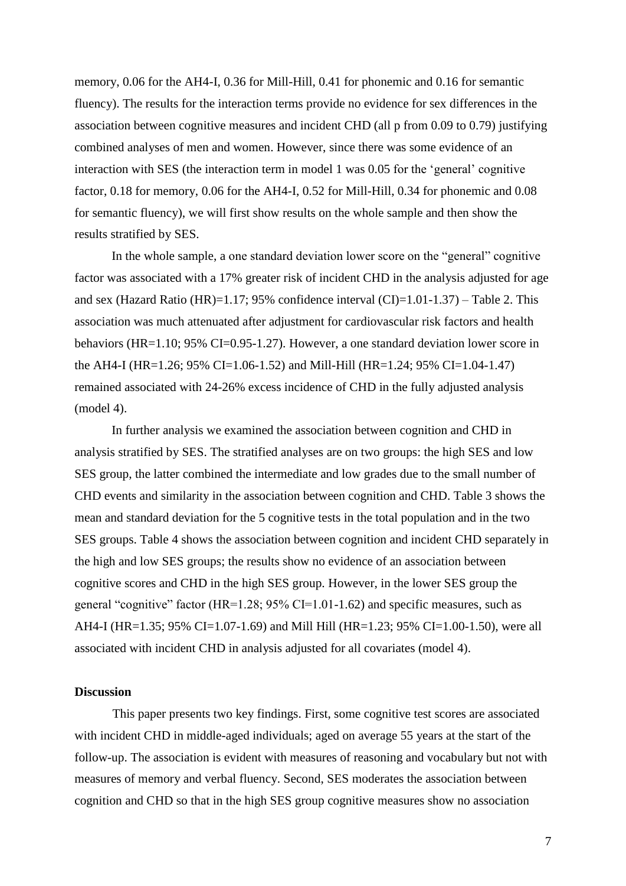memory, 0.06 for the AH4-I, 0.36 for Mill-Hill, 0.41 for phonemic and 0.16 for semantic fluency). The results for the interaction terms provide no evidence for sex differences in the association between cognitive measures and incident CHD (all p from 0.09 to 0.79) justifying combined analyses of men and women. However, since there was some evidence of an interaction with SES (the interaction term in model 1 was 0.05 for the "general" cognitive factor, 0.18 for memory, 0.06 for the AH4-I, 0.52 for Mill-Hill, 0.34 for phonemic and 0.08 for semantic fluency), we will first show results on the whole sample and then show the results stratified by SES.

In the whole sample, a one standard deviation lower score on the "general" cognitive factor was associated with a 17% greater risk of incident CHD in the analysis adjusted for age and sex (Hazard Ratio (HR)=1.17; 95% confidence interval (CI)=1.01-1.37) – Table 2. This association was much attenuated after adjustment for cardiovascular risk factors and health behaviors (HR=1.10; 95% CI=0.95-1.27). However, a one standard deviation lower score in the AH4-I (HR=1.26; 95% CI=1.06-1.52) and Mill-Hill (HR=1.24; 95% CI=1.04-1.47) remained associated with 24-26% excess incidence of CHD in the fully adjusted analysis (model 4).

In further analysis we examined the association between cognition and CHD in analysis stratified by SES. The stratified analyses are on two groups: the high SES and low SES group, the latter combined the intermediate and low grades due to the small number of CHD events and similarity in the association between cognition and CHD. Table 3 shows the mean and standard deviation for the 5 cognitive tests in the total population and in the two SES groups. Table 4 shows the association between cognition and incident CHD separately in the high and low SES groups; the results show no evidence of an association between cognitive scores and CHD in the high SES group. However, in the lower SES group the general "cognitive" factor  $(HR=1.28; 95\% \text{ CI}=1.01-1.62)$  and specific measures, such as AH4-I (HR=1.35; 95% CI=1.07-1.69) and Mill Hill (HR=1.23; 95% CI=1.00-1.50), were all associated with incident CHD in analysis adjusted for all covariates (model 4).

#### **Discussion**

This paper presents two key findings. First, some cognitive test scores are associated with incident CHD in middle-aged individuals; aged on average 55 years at the start of the follow-up. The association is evident with measures of reasoning and vocabulary but not with measures of memory and verbal fluency. Second, SES moderates the association between cognition and CHD so that in the high SES group cognitive measures show no association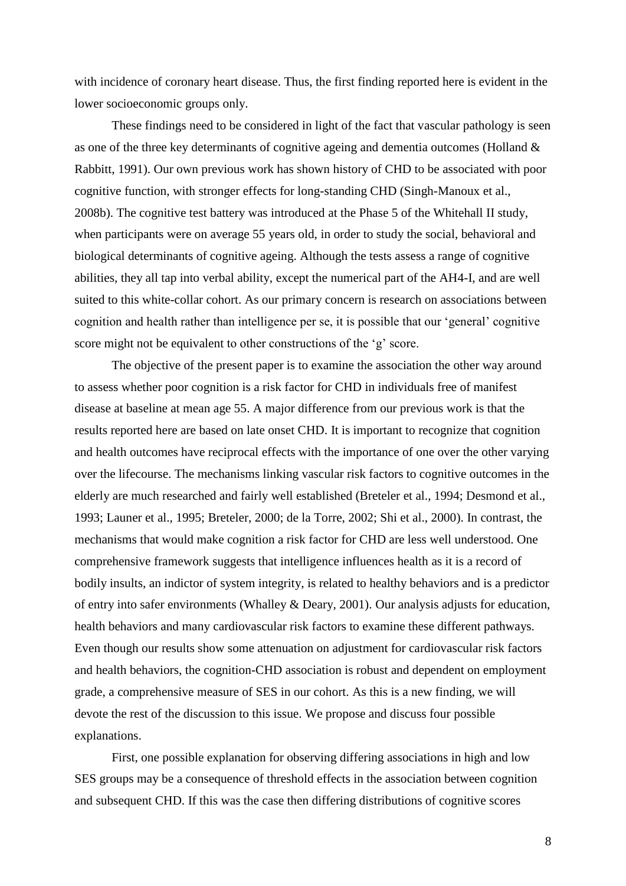with incidence of coronary heart disease. Thus, the first finding reported here is evident in the lower socioeconomic groups only.

These findings need to be considered in light of the fact that vascular pathology is seen as one of the three key determinants of cognitive ageing and dementia outcomes (Holland & Rabbitt, 1991). Our own previous work has shown history of CHD to be associated with poor cognitive function, with stronger effects for long-standing CHD (Singh-Manoux et al., 2008b). The cognitive test battery was introduced at the Phase 5 of the Whitehall II study, when participants were on average 55 years old, in order to study the social, behavioral and biological determinants of cognitive ageing. Although the tests assess a range of cognitive abilities, they all tap into verbal ability, except the numerical part of the AH4-I, and are well suited to this white-collar cohort. As our primary concern is research on associations between cognition and health rather than intelligence per se, it is possible that our "general" cognitive score might not be equivalent to other constructions of the 'g' score.

The objective of the present paper is to examine the association the other way around to assess whether poor cognition is a risk factor for CHD in individuals free of manifest disease at baseline at mean age 55. A major difference from our previous work is that the results reported here are based on late onset CHD. It is important to recognize that cognition and health outcomes have reciprocal effects with the importance of one over the other varying over the lifecourse. The mechanisms linking vascular risk factors to cognitive outcomes in the elderly are much researched and fairly well established (Breteler et al., 1994; Desmond et al., 1993; Launer et al., 1995; Breteler, 2000; de la Torre, 2002; Shi et al., 2000). In contrast, the mechanisms that would make cognition a risk factor for CHD are less well understood. One comprehensive framework suggests that intelligence influences health as it is a record of bodily insults, an indictor of system integrity, is related to healthy behaviors and is a predictor of entry into safer environments (Whalley & Deary, 2001). Our analysis adjusts for education, health behaviors and many cardiovascular risk factors to examine these different pathways. Even though our results show some attenuation on adjustment for cardiovascular risk factors and health behaviors, the cognition-CHD association is robust and dependent on employment grade, a comprehensive measure of SES in our cohort. As this is a new finding, we will devote the rest of the discussion to this issue. We propose and discuss four possible explanations.

First, one possible explanation for observing differing associations in high and low SES groups may be a consequence of threshold effects in the association between cognition and subsequent CHD. If this was the case then differing distributions of cognitive scores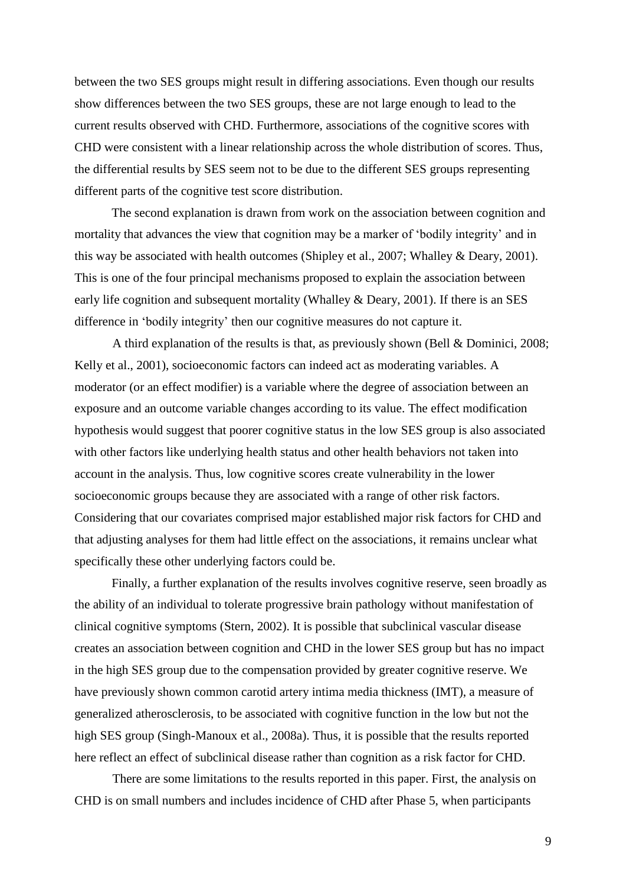between the two SES groups might result in differing associations. Even though our results show differences between the two SES groups, these are not large enough to lead to the current results observed with CHD. Furthermore, associations of the cognitive scores with CHD were consistent with a linear relationship across the whole distribution of scores. Thus, the differential results by SES seem not to be due to the different SES groups representing different parts of the cognitive test score distribution.

The second explanation is drawn from work on the association between cognition and mortality that advances the view that cognition may be a marker of 'bodily integrity' and in this way be associated with health outcomes (Shipley et al., 2007; Whalley & Deary, 2001). This is one of the four principal mechanisms proposed to explain the association between early life cognition and subsequent mortality (Whalley & Deary, 2001). If there is an SES difference in "bodily integrity" then our cognitive measures do not capture it.

A third explanation of the results is that, as previously shown (Bell & Dominici, 2008; Kelly et al., 2001), socioeconomic factors can indeed act as moderating variables. A moderator (or an effect modifier) is a variable where the degree of association between an exposure and an outcome variable changes according to its value. The effect modification hypothesis would suggest that poorer cognitive status in the low SES group is also associated with other factors like underlying health status and other health behaviors not taken into account in the analysis. Thus, low cognitive scores create vulnerability in the lower socioeconomic groups because they are associated with a range of other risk factors. Considering that our covariates comprised major established major risk factors for CHD and that adjusting analyses for them had little effect on the associations, it remains unclear what specifically these other underlying factors could be.

Finally, a further explanation of the results involves cognitive reserve, seen broadly as the ability of an individual to tolerate progressive brain pathology without manifestation of clinical cognitive symptoms (Stern, 2002). It is possible that subclinical vascular disease creates an association between cognition and CHD in the lower SES group but has no impact in the high SES group due to the compensation provided by greater cognitive reserve. We have previously shown common carotid artery intima media thickness (IMT), a measure of generalized atherosclerosis, to be associated with cognitive function in the low but not the high SES group (Singh-Manoux et al., 2008a). Thus, it is possible that the results reported here reflect an effect of subclinical disease rather than cognition as a risk factor for CHD.

There are some limitations to the results reported in this paper. First, the analysis on CHD is on small numbers and includes incidence of CHD after Phase 5, when participants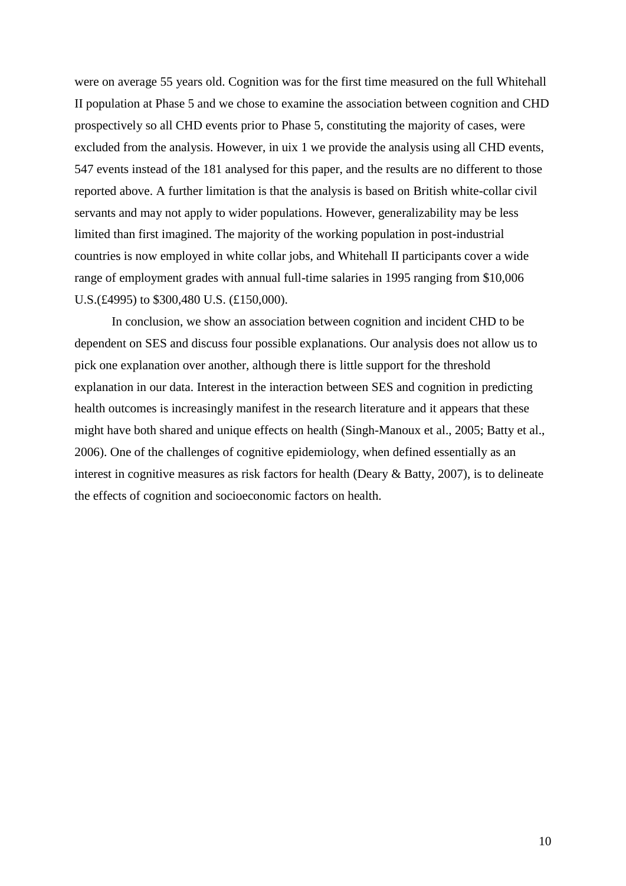were on average 55 years old. Cognition was for the first time measured on the full Whitehall II population at Phase 5 and we chose to examine the association between cognition and CHD prospectively so all CHD events prior to Phase 5, constituting the majority of cases, were excluded from the analysis. However, in uix 1 we provide the analysis using all CHD events, 547 events instead of the 181 analysed for this paper, and the results are no different to those reported above. A further limitation is that the analysis is based on British white-collar civil servants and may not apply to wider populations. However, generalizability may be less limited than first imagined. The majority of the working population in post-industrial countries is now employed in white collar jobs, and Whitehall II participants cover a wide range of employment grades with annual full-time salaries in 1995 ranging from \$10,006 U.S.(£4995) to \$300,480 U.S. (£150,000).

In conclusion, we show an association between cognition and incident CHD to be dependent on SES and discuss four possible explanations. Our analysis does not allow us to pick one explanation over another, although there is little support for the threshold explanation in our data. Interest in the interaction between SES and cognition in predicting health outcomes is increasingly manifest in the research literature and it appears that these might have both shared and unique effects on health (Singh-Manoux et al., 2005; Batty et al., 2006). One of the challenges of cognitive epidemiology, when defined essentially as an interest in cognitive measures as risk factors for health (Deary & Batty, 2007), is to delineate the effects of cognition and socioeconomic factors on health.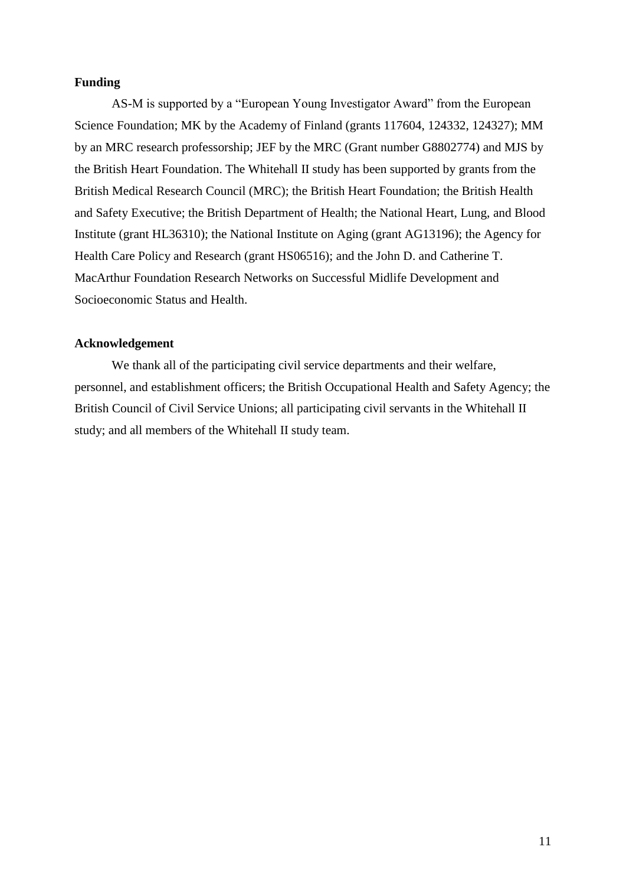## **Funding**

AS-M is supported by a "European Young Investigator Award" from the European Science Foundation; MK by the Academy of Finland (grants 117604, 124332, 124327); MM by an MRC research professorship; JEF by the MRC (Grant number G8802774) and MJS by the British Heart Foundation. The Whitehall II study has been supported by grants from the British Medical Research Council (MRC); the British Heart Foundation; the British Health and Safety Executive; the British Department of Health; the National Heart, Lung, and Blood Institute (grant HL36310); the National Institute on Aging (grant AG13196); the Agency for Health Care Policy and Research (grant HS06516); and the John D. and Catherine T. MacArthur Foundation Research Networks on Successful Midlife Development and Socioeconomic Status and Health.

## **Acknowledgement**

We thank all of the participating civil service departments and their welfare, personnel, and establishment officers; the British Occupational Health and Safety Agency; the British Council of Civil Service Unions; all participating civil servants in the Whitehall II study; and all members of the Whitehall II study team.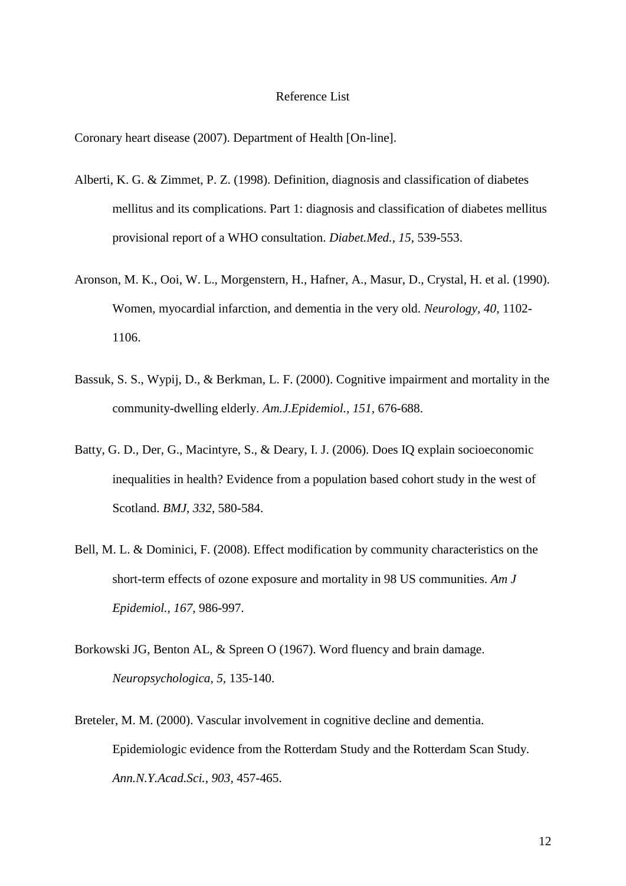#### Reference List

Coronary heart disease (2007). Department of Health [On-line].

- Alberti, K. G. & Zimmet, P. Z. (1998). Definition, diagnosis and classification of diabetes mellitus and its complications. Part 1: diagnosis and classification of diabetes mellitus provisional report of a WHO consultation. *Diabet.Med., 15,* 539-553.
- Aronson, M. K., Ooi, W. L., Morgenstern, H., Hafner, A., Masur, D., Crystal, H. et al. (1990). Women, myocardial infarction, and dementia in the very old. *Neurology, 40,* 1102- 1106.
- Bassuk, S. S., Wypij, D., & Berkman, L. F. (2000). Cognitive impairment and mortality in the community-dwelling elderly. *Am.J.Epidemiol., 151,* 676-688.
- Batty, G. D., Der, G., Macintyre, S., & Deary, I. J. (2006). Does IQ explain socioeconomic inequalities in health? Evidence from a population based cohort study in the west of Scotland. *BMJ, 332,* 580-584.
- Bell, M. L. & Dominici, F. (2008). Effect modification by community characteristics on the short-term effects of ozone exposure and mortality in 98 US communities. *Am J Epidemiol., 167,* 986-997.
- Borkowski JG, Benton AL, & Spreen O (1967). Word fluency and brain damage. *Neuropsychologica, 5,* 135-140.
- Breteler, M. M. (2000). Vascular involvement in cognitive decline and dementia. Epidemiologic evidence from the Rotterdam Study and the Rotterdam Scan Study. *Ann.N.Y.Acad.Sci., 903,* 457-465.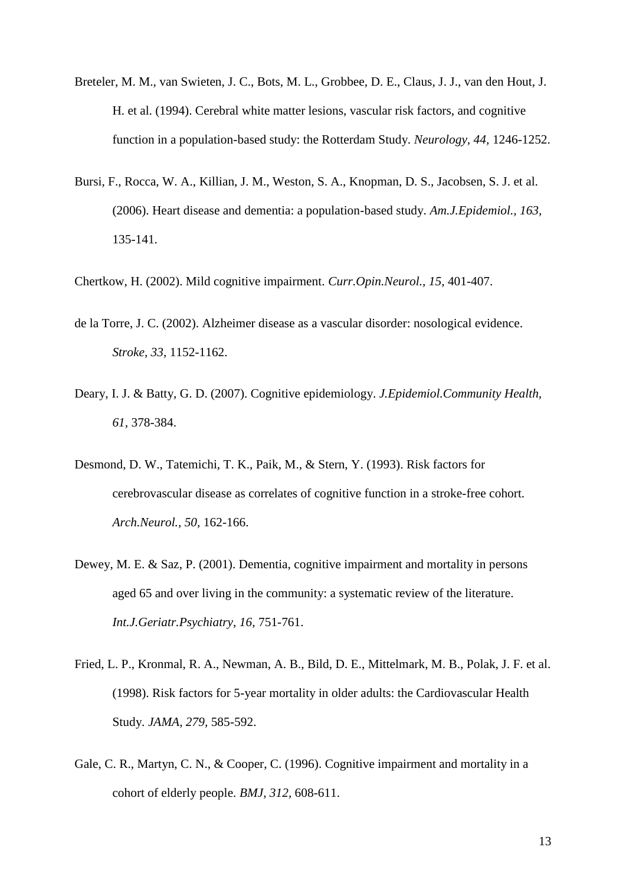- Breteler, M. M., van Swieten, J. C., Bots, M. L., Grobbee, D. E., Claus, J. J., van den Hout, J. H. et al. (1994). Cerebral white matter lesions, vascular risk factors, and cognitive function in a population-based study: the Rotterdam Study. *Neurology, 44,* 1246-1252.
- Bursi, F., Rocca, W. A., Killian, J. M., Weston, S. A., Knopman, D. S., Jacobsen, S. J. et al. (2006). Heart disease and dementia: a population-based study. *Am.J.Epidemiol., 163,* 135-141.
- Chertkow, H. (2002). Mild cognitive impairment. *Curr.Opin.Neurol., 15,* 401-407.
- de la Torre, J. C. (2002). Alzheimer disease as a vascular disorder: nosological evidence. *Stroke, 33,* 1152-1162.
- Deary, I. J. & Batty, G. D. (2007). Cognitive epidemiology. *J.Epidemiol.Community Health, 61,* 378-384.
- Desmond, D. W., Tatemichi, T. K., Paik, M., & Stern, Y. (1993). Risk factors for cerebrovascular disease as correlates of cognitive function in a stroke-free cohort. *Arch.Neurol., 50,* 162-166.
- Dewey, M. E. & Saz, P. (2001). Dementia, cognitive impairment and mortality in persons aged 65 and over living in the community: a systematic review of the literature. *Int.J.Geriatr.Psychiatry, 16,* 751-761.
- Fried, L. P., Kronmal, R. A., Newman, A. B., Bild, D. E., Mittelmark, M. B., Polak, J. F. et al. (1998). Risk factors for 5-year mortality in older adults: the Cardiovascular Health Study. *JAMA, 279,* 585-592.
- Gale, C. R., Martyn, C. N., & Cooper, C. (1996). Cognitive impairment and mortality in a cohort of elderly people. *BMJ, 312,* 608-611.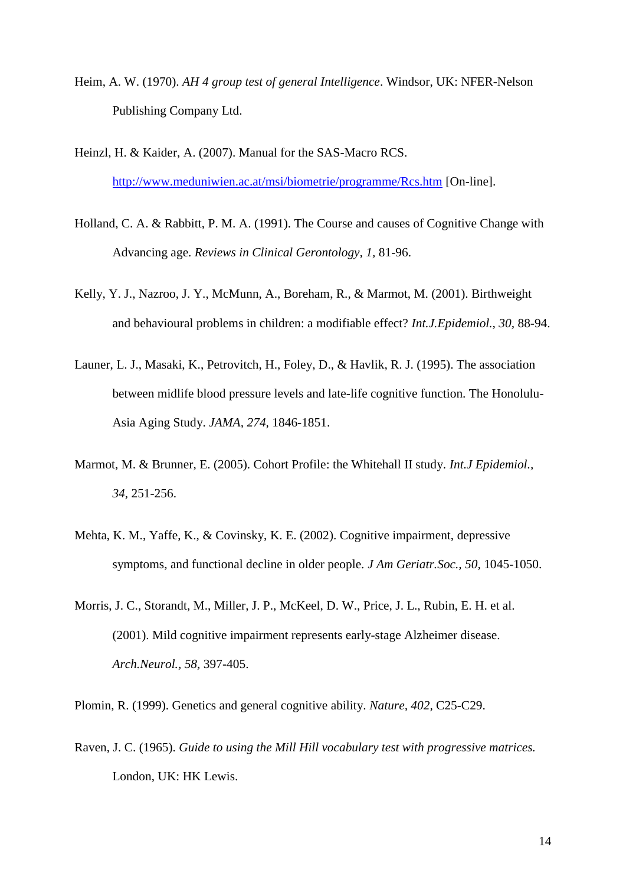- Heim, A. W. (1970). *AH 4 group test of general Intelligence*. Windsor, UK: NFER-Nelson Publishing Company Ltd.
- Heinzl, H. & Kaider, A. (2007). Manual for the SAS-Macro RCS. <http://www.meduniwien.ac.at/msi/biometrie/programme/Rcs.htm> [On-line].
- Holland, C. A. & Rabbitt, P. M. A. (1991). The Course and causes of Cognitive Change with Advancing age. *Reviews in Clinical Gerontology, 1,* 81-96.
- Kelly, Y. J., Nazroo, J. Y., McMunn, A., Boreham, R., & Marmot, M. (2001). Birthweight and behavioural problems in children: a modifiable effect? *Int.J.Epidemiol., 30,* 88-94.
- Launer, L. J., Masaki, K., Petrovitch, H., Foley, D., & Havlik, R. J. (1995). The association between midlife blood pressure levels and late-life cognitive function. The Honolulu-Asia Aging Study. *JAMA, 274,* 1846-1851.
- Marmot, M. & Brunner, E. (2005). Cohort Profile: the Whitehall II study. *Int.J Epidemiol., 34,* 251-256.
- Mehta, K. M., Yaffe, K., & Covinsky, K. E. (2002). Cognitive impairment, depressive symptoms, and functional decline in older people. *J Am Geriatr.Soc., 50,* 1045-1050.
- Morris, J. C., Storandt, M., Miller, J. P., McKeel, D. W., Price, J. L., Rubin, E. H. et al. (2001). Mild cognitive impairment represents early-stage Alzheimer disease. *Arch.Neurol., 58,* 397-405.

Plomin, R. (1999). Genetics and general cognitive ability. *Nature, 402,* C25-C29.

Raven, J. C. (1965). *Guide to using the Mill Hill vocabulary test with progressive matrices.* London, UK: HK Lewis.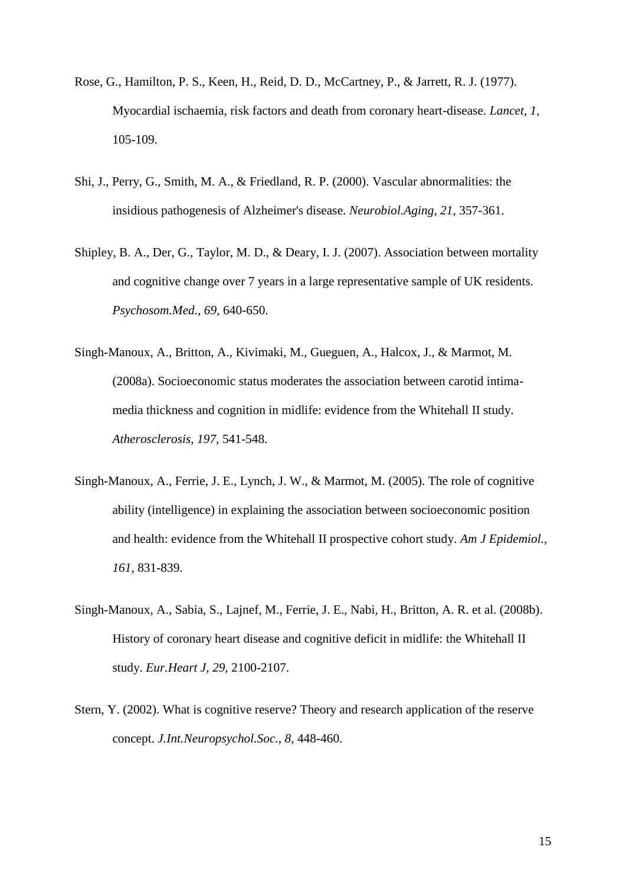- Rose, G., Hamilton, P. S., Keen, H., Reid, D. D., McCartney, P., & Jarrett, R. J. (1977). Myocardial ischaemia, risk factors and death from coronary heart-disease. *Lancet, 1,* 105-109.
- Shi, J., Perry, G., Smith, M. A., & Friedland, R. P. (2000). Vascular abnormalities: the insidious pathogenesis of Alzheimer's disease. *Neurobiol.Aging, 21,* 357-361.
- Shipley, B. A., Der, G., Taylor, M. D., & Deary, I. J. (2007). Association between mortality and cognitive change over 7 years in a large representative sample of UK residents. *Psychosom.Med., 69,* 640-650.
- Singh-Manoux, A., Britton, A., Kivimaki, M., Gueguen, A., Halcox, J., & Marmot, M. (2008a). Socioeconomic status moderates the association between carotid intimamedia thickness and cognition in midlife: evidence from the Whitehall II study. *Atherosclerosis, 197,* 541-548.
- Singh-Manoux, A., Ferrie, J. E., Lynch, J. W., & Marmot, M. (2005). The role of cognitive ability (intelligence) in explaining the association between socioeconomic position and health: evidence from the Whitehall II prospective cohort study. *Am J Epidemiol., 161,* 831-839.
- Singh-Manoux, A., Sabia, S., Lajnef, M., Ferrie, J. E., Nabi, H., Britton, A. R. et al. (2008b). History of coronary heart disease and cognitive deficit in midlife: the Whitehall II study. *Eur.Heart J, 29,* 2100-2107.
- Stern, Y. (2002). What is cognitive reserve? Theory and research application of the reserve concept. *J.Int.Neuropsychol.Soc., 8,* 448-460.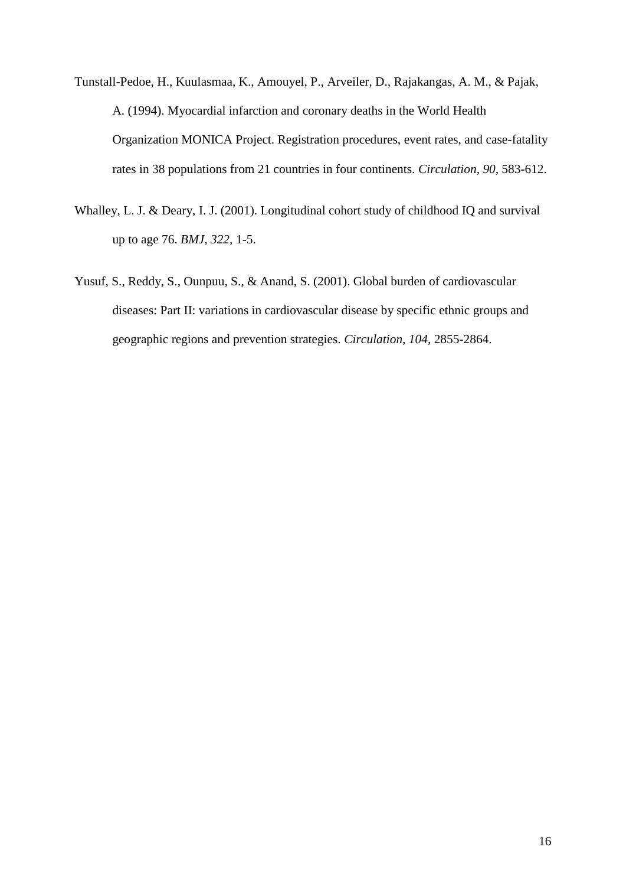Tunstall-Pedoe, H., Kuulasmaa, K., Amouyel, P., Arveiler, D., Rajakangas, A. M., & Pajak, A. (1994). Myocardial infarction and coronary deaths in the World Health Organization MONICA Project. Registration procedures, event rates, and case-fatality rates in 38 populations from 21 countries in four continents. *Circulation, 90,* 583-612.

- Whalley, L. J. & Deary, I. J. (2001). Longitudinal cohort study of childhood IQ and survival up to age 76. *BMJ, 322,* 1-5.
- Yusuf, S., Reddy, S., Ounpuu, S., & Anand, S. (2001). Global burden of cardiovascular diseases: Part II: variations in cardiovascular disease by specific ethnic groups and geographic regions and prevention strategies. *Circulation, 104,* 2855-2864.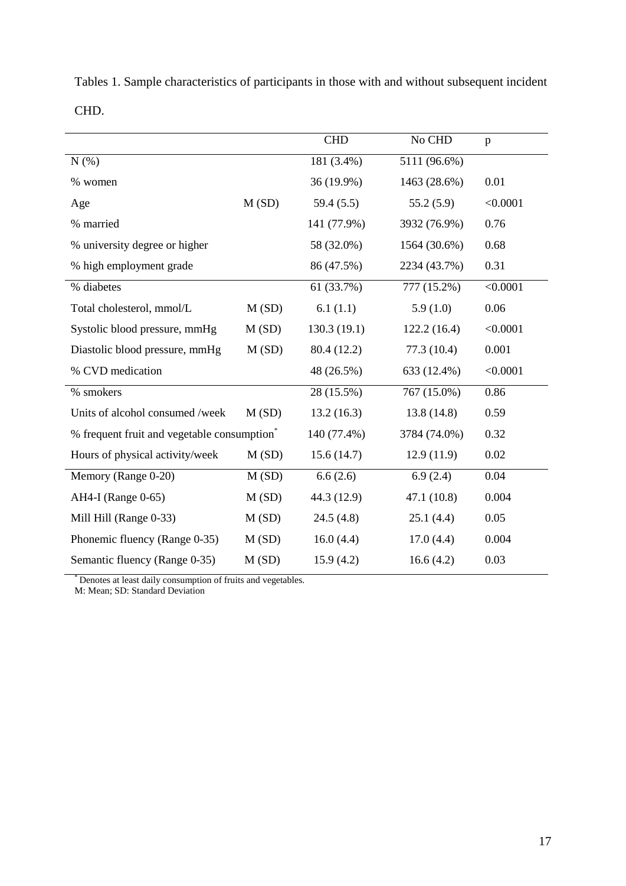|      |  |  |  | Tables 1. Sample characteristics of participants in those with and without subsequent incident |  |
|------|--|--|--|------------------------------------------------------------------------------------------------|--|
| CHD. |  |  |  |                                                                                                |  |

|                                                         |       | <b>CHD</b>  | No CHD       | $\mathbf{p}$ |
|---------------------------------------------------------|-------|-------------|--------------|--------------|
| N(%)                                                    |       | 181 (3.4%)  | 5111 (96.6%) |              |
| % women                                                 |       | 36 (19.9%)  | 1463 (28.6%) | 0.01         |
| Age                                                     | M(SD) | 59.4(5.5)   | 55.2(5.9)    | < 0.0001     |
| % married                                               |       | 141 (77.9%) | 3932 (76.9%) | 0.76         |
| % university degree or higher                           |       | 58 (32.0%)  | 1564 (30.6%) | 0.68         |
| % high employment grade                                 |       | 86 (47.5%)  | 2234 (43.7%) | 0.31         |
| % diabetes                                              |       | 61 (33.7%)  | 777 (15.2%)  | < 0.0001     |
| Total cholesterol, mmol/L                               | M(SD) | 6.1(1.1)    | 5.9(1.0)     | 0.06         |
| Systolic blood pressure, mmHg                           | M(SD) | 130.3(19.1) | 122.2(16.4)  | < 0.0001     |
| Diastolic blood pressure, mmHg                          | M(SD) | 80.4 (12.2) | 77.3 (10.4)  | 0.001        |
| % CVD medication                                        |       | 48 (26.5%)  | 633 (12.4%)  | < 0.0001     |
| % smokers                                               |       | 28 (15.5%)  | 767 (15.0%)  | 0.86         |
| Units of alcohol consumed /week                         | M(SD) | 13.2(16.3)  | 13.8 (14.8)  | 0.59         |
| % frequent fruit and vegetable consumption <sup>*</sup> |       | 140 (77.4%) | 3784 (74.0%) | 0.32         |
| Hours of physical activity/week                         | M(SD) | 15.6(14.7)  | 12.9(11.9)   | 0.02         |
| Memory (Range 0-20)                                     | M(SD) | 6.6(2.6)    | 6.9(2.4)     | 0.04         |
| AH4-I (Range 0-65)                                      | M(SD) | 44.3 (12.9) | 47.1 (10.8)  | 0.004        |
| Mill Hill (Range 0-33)                                  | M(SD) | 24.5(4.8)   | 25.1(4.4)    | 0.05         |
| Phonemic fluency (Range 0-35)                           | M(SD) | 16.0(4.4)   | 17.0(4.4)    | 0.004        |
| Semantic fluency (Range 0-35)                           | M(SD) | 15.9(4.2)   | 16.6(4.2)    | 0.03         |

\* Denotes at least daily consumption of fruits and vegetables.

M: Mean; SD: Standard Deviation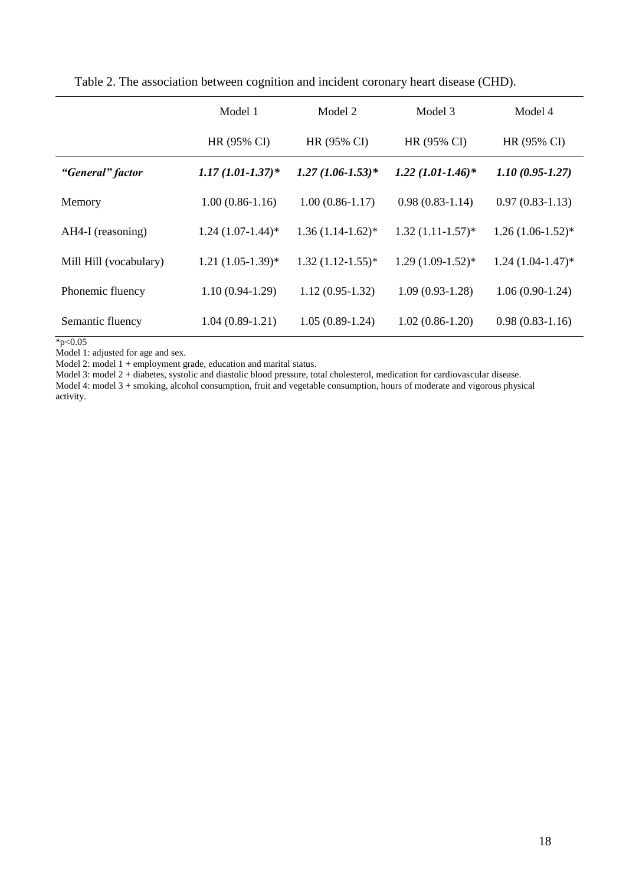|                        | Model 1              | Model 2             | Model 3                | Model 4             |
|------------------------|----------------------|---------------------|------------------------|---------------------|
|                        | HR (95% CI)          | HR (95% CI)         | HR (95% CI)            | HR (95% CI)         |
| "General" factor       | $1.17(1.01 - 1.37)*$ | $1.27(1.06-1.53)*$  | $1.22 (1.01 - 1.46)^*$ | $1.10(0.95 - 1.27)$ |
| Memory                 | $1.00(0.86-1.16)$    | $1.00(0.86-1.17)$   | $0.98(0.83-1.14)$      | $0.97(0.83-1.13)$   |
| AH4-I (reasoning)      | $1.24(1.07-1.44)$ *  | $1.36(1.14-1.62)$ * | $1.32(1.11-1.57)$ *    | $1.26(1.06-1.52)$ * |
| Mill Hill (vocabulary) | $1.21(1.05-1.39)$ *  | $1.32(1.12-1.55)*$  | $1.29(1.09-1.52)$ *    | $1.24(1.04-1.47)^*$ |
| Phonemic fluency       | $1.10(0.94-1.29)$    | $1.12(0.95-1.32)$   | $1.09(0.93-1.28)$      | $1.06(0.90-1.24)$   |
| Semantic fluency       | $1.04(0.89-1.21)$    | $1.05(0.89-1.24)$   | $1.02(0.86-1.20)$      | $0.98(0.83-1.16)$   |

Table 2. The association between cognition and incident coronary heart disease (CHD).

 $*_{p<0.05}$ 

Model 1: adjusted for age and sex.

Model 2: model 1 + employment grade, education and marital status.

Model 3: model 2 + diabetes, systolic and diastolic blood pressure, total cholesterol, medication for cardiovascular disease.

Model 4: model 3 + smoking, alcohol consumption, fruit and vegetable consumption, hours of moderate and vigorous physical activity.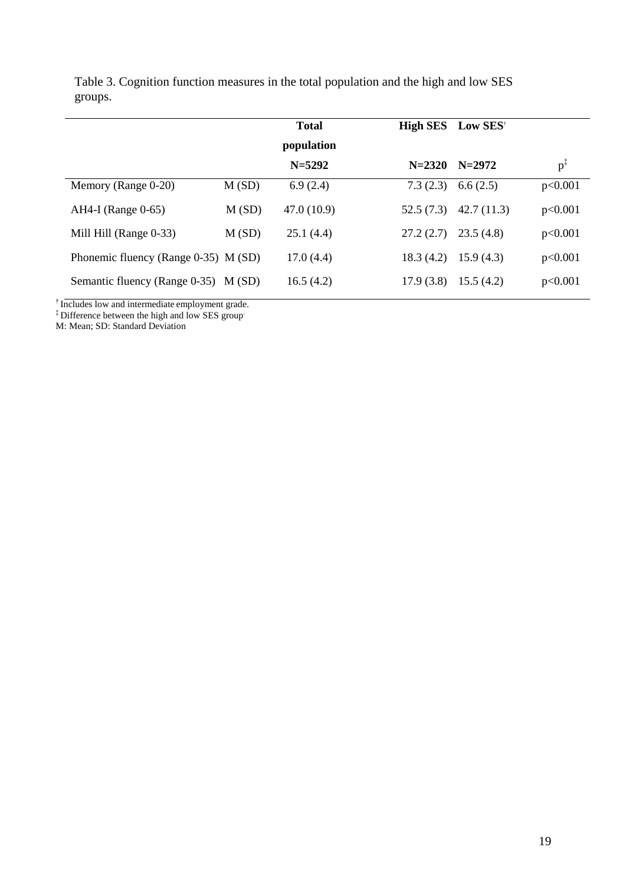|                                      |       | <b>Total</b> |            | High SES Low SES <sup>+</sup> |                |
|--------------------------------------|-------|--------------|------------|-------------------------------|----------------|
|                                      |       | population   |            |                               |                |
|                                      |       | $N = 5292$   | $N = 2320$ | $N=2972$                      | $p^{\ddagger}$ |
| Memory (Range 0-20)                  | M(SD) | 6.9(2.4)     | 7.3(2.3)   | 6.6(2.5)                      | p<0.001        |
| $AH4-I$ (Range 0-65)                 | M(SD) | 47.0(10.9)   | 52.5(7.3)  | 42.7(11.3)                    | p<0.001        |
| Mill Hill (Range 0-33)               | M(SD) | 25.1(4.4)    | 27.2(2.7)  | 23.5(4.8)                     | p<0.001        |
| Phonemic fluency (Range 0-35) M (SD) |       | 17.0(4.4)    | 18.3(4.2)  | 15.9(4.3)                     | p<0.001        |
| Semantic fluency (Range 0-35) M (SD) |       | 16.5(4.2)    | 17.9(3.8)  | 15.5(4.2)                     | p<0.001        |

Table 3. Cognition function measures in the total population and the high and low SES groups.

<sup>†</sup> Includes low and intermediate employment grade.

<sup>‡</sup> Difference between the high and low SES group<sup>.</sup>

M: Mean; SD: Standard Deviation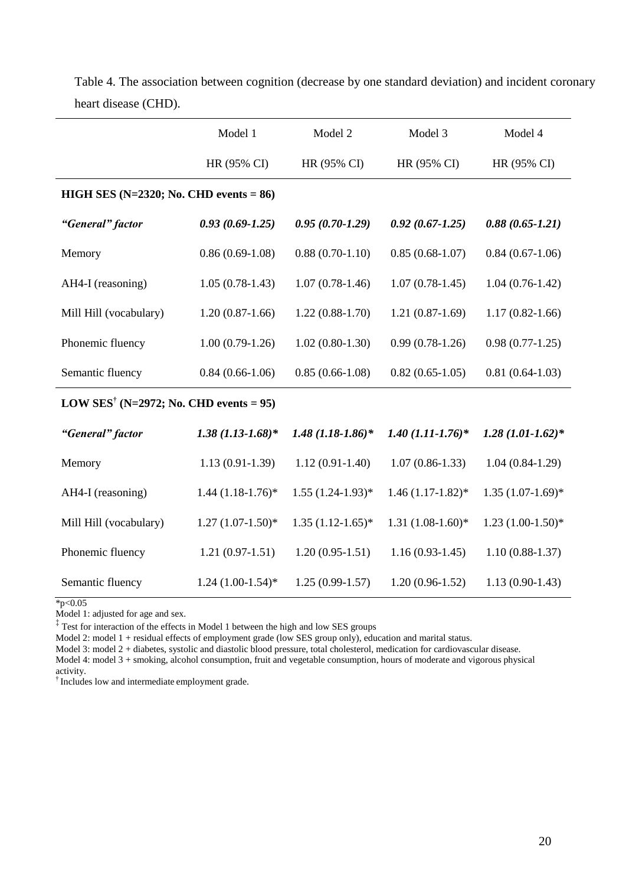|                                                    | Model 1              | Model 2                  | Model 3             | Model 4             |  |  |  |  |
|----------------------------------------------------|----------------------|--------------------------|---------------------|---------------------|--|--|--|--|
|                                                    | HR (95% CI)          | HR (95% CI)              | HR (95% CI)         | HR (95% CI)         |  |  |  |  |
| HIGH SES ( $N=2320$ ; No. CHD events = 86)         |                      |                          |                     |                     |  |  |  |  |
| "General" factor                                   | $0.93(0.69-1.25)$    | $0.95(0.70-1.29)$        | $0.92(0.67-1.25)$   | $0.88(0.65 - 1.21)$ |  |  |  |  |
| Memory                                             | $0.86(0.69-1.08)$    | $0.88(0.70-1.10)$        | $0.85(0.68-1.07)$   | $0.84(0.67-1.06)$   |  |  |  |  |
| AH4-I (reasoning)                                  | $1.05(0.78-1.43)$    | $1.07(0.78-1.46)$        | $1.07(0.78-1.45)$   | $1.04(0.76-1.42)$   |  |  |  |  |
| Mill Hill (vocabulary)                             | $1.20(0.87-1.66)$    | $1.22(0.88-1.70)$        | $1.21(0.87-1.69)$   | $1.17(0.82 - 1.66)$ |  |  |  |  |
| Phonemic fluency                                   | $1.00(0.79-1.26)$    | $1.02(0.80-1.30)$        | $0.99(0.78-1.26)$   | $0.98(0.77-1.25)$   |  |  |  |  |
| Semantic fluency                                   | $0.84(0.66-1.06)$    | $0.85(0.66-1.08)$        | $0.82(0.65-1.05)$   | $0.81(0.64-1.03)$   |  |  |  |  |
| LOW SES <sup>†</sup> (N=2972; No. CHD events = 95) |                      |                          |                     |                     |  |  |  |  |
| "General" factor                                   | $1.38(1.13 - 1.68)*$ | $1.48$ $(1.18 - 1.86)^*$ | $1.40$ (1.11-1.76)* | $1.28(1.01-1.62)*$  |  |  |  |  |
| Memory                                             | $1.13(0.91-1.39)$    | $1.12(0.91-1.40)$        | $1.07(0.86-1.33)$   | $1.04(0.84-1.29)$   |  |  |  |  |
| AH4-I (reasoning)                                  | $1.44(1.18-1.76)$ *  | $1.55(1.24-1.93)*$       | $1.46(1.17-1.82)$ * | $1.35(1.07-1.69)$ * |  |  |  |  |
| Mill Hill (vocabulary)                             | $1.27(1.07-1.50)*$   | $1.35(1.12-1.65)$ *      | $1.31(1.08-1.60)*$  | $1.23(1.00-1.50)*$  |  |  |  |  |
| Phonemic fluency                                   | $1.21(0.97-1.51)$    | $1.20(0.95-1.51)$        | $1.16(0.93-1.45)$   | $1.10(0.88-1.37)$   |  |  |  |  |
| Semantic fluency                                   | $1.24(1.00-1.54)$ *  | $1.25(0.99-1.57)$        | $1.20(0.96-1.52)$   | $1.13(0.90-1.43)$   |  |  |  |  |

Table 4. The association between cognition (decrease by one standard deviation) and incident coronary heart disease (CHD).

 $*_{p<0.05}$ 

Model 1: adjusted for age and sex.

‡ Test for interaction of the effects in Model 1 between the high and low SES groups

Model 2: model 1 + residual effects of employment grade (low SES group only), education and marital status.

Model 3: model 2 + diabetes, systolic and diastolic blood pressure, total cholesterol, medication for cardiovascular disease.

Model 4: model 3 + smoking, alcohol consumption, fruit and vegetable consumption, hours of moderate and vigorous physical activity.

† Includes low and intermediate employment grade.